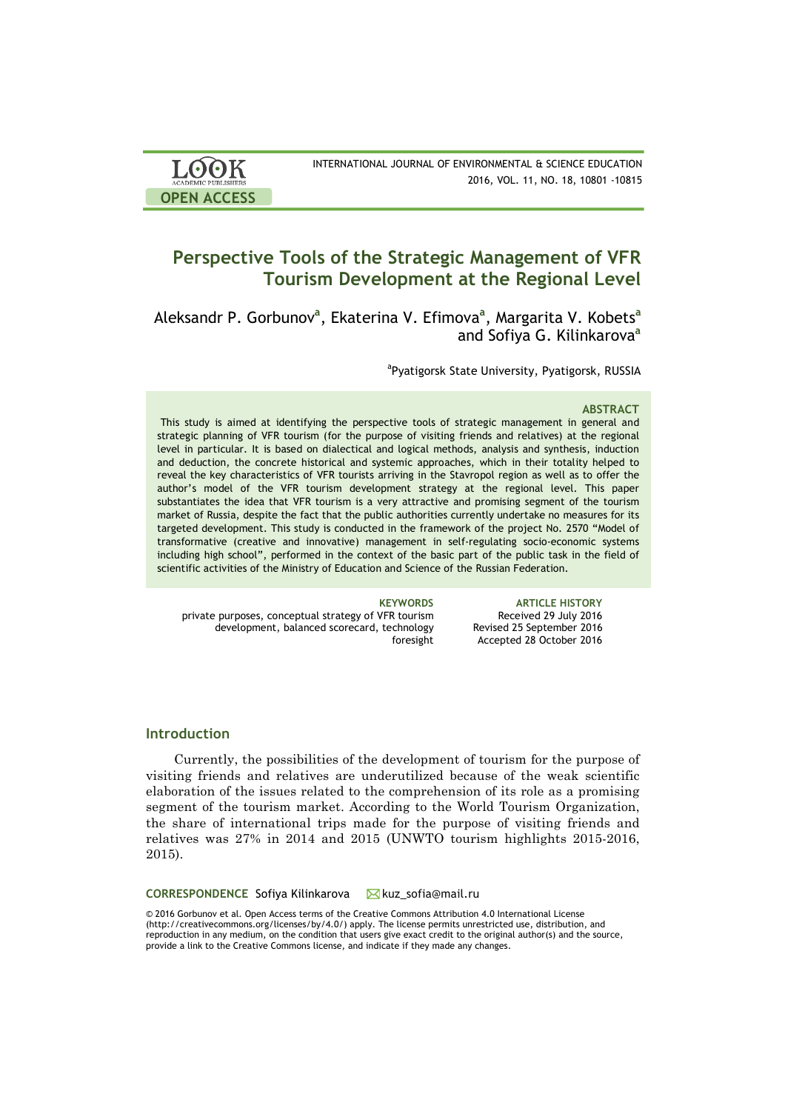| <b>LOOK</b>                | INTERNATIONAL JOURNAL OF ENVIRONMENTAL & SCIENCE EDUCATION |
|----------------------------|------------------------------------------------------------|
| <b>ACADEMIC PUBLISHERS</b> | 2016, VOL. 11, NO. 18, 10801 -10815                        |
| <b>OPEN ACCESS</b>         |                                                            |

# **Perspective Tools of the Strategic Management of VFR Tourism Development at the Regional Level**

Aleksandr P. Gorbunov**<sup>a</sup>** , Ekaterina V. Efimova**<sup>a</sup>** , Margarita V. Kobets**<sup>a</sup>** and Sofiya G. Kilinkarova**<sup>a</sup>**

<sup>a</sup>Pyatigorsk State University, Pyatigorsk, RUSSIA

### **ABSTRACT**

This study is aimed at identifying the perspective tools of strategic management in general and strategic planning of VFR tourism (for the purpose of visiting friends and relatives) at the regional level in particular. It is based on dialectical and logical methods, analysis and synthesis, induction and deduction, the concrete historical and systemic approaches, which in their totality helped to reveal the key characteristics of VFR tourists arriving in the Stavropol region as well as to offer the author's model of the VFR tourism development strategy at the regional level. This paper substantiates the idea that VFR tourism is a very attractive and promising segment of the tourism market of Russia, despite the fact that the public authorities currently undertake no measures for its targeted development. This study is conducted in the framework of the project No. 2570 "Model of transformative (creative and innovative) management in self-regulating socio-economic systems including high school", performed in the context of the basic part of the public task in the field of scientific activities of the Ministry of Education and Science of the Russian Federation.

private purposes, conceptual strategy of VFR tourism development, balanced scorecard, technology foresight

**KEYWORDS ARTICLE HISTORY** Received 29 July 2016 Revised 25 September 2016 Accepted 28 October 2016

# **Introduction**

Currently, the possibilities of the development of tourism for the purpose of visiting friends and relatives are underutilized because of the weak scientific elaboration of the issues related to the comprehension of its role as a promising segment of the tourism market. According to the World Tourism Organization, the share of international trips made for the purpose of visiting friends and relatives was 27% in 2014 and 2015 (UNWTO tourism highlights 2015-2016, 2015).

**CORRESPONDENCE** Sofiya Kilinkarova Mkuz sofia@mail.ru

© 2016 Gorbunov et al. Open Access terms of the Creative Commons Attribution 4.0 International License (http://creativecommons.org/licenses/by/4.0/) apply. The license permits unrestricted use, distribution, and reproduction in any medium, on the condition that users give exact credit to the original author(s) and the source, provide a link to the Creative Commons license, and indicate if they made any changes.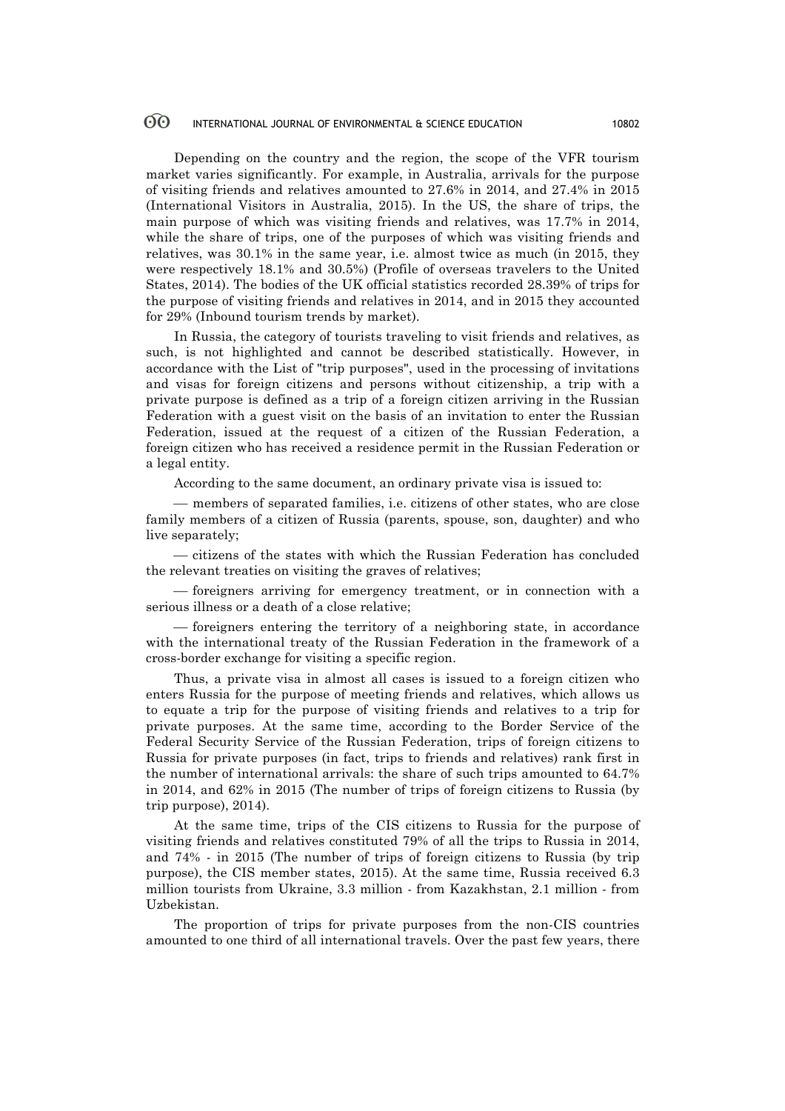Depending on the country and the region, the scope of the VFR tourism market varies significantly. For example, in Australia, arrivals for the purpose of visiting friends and relatives amounted to 27.6% in 2014, and 27.4% in 2015 (International Visitors in Australia, 2015). In the US, the share of trips, the main purpose of which was visiting friends and relatives, was 17.7% in 2014, while the share of trips, one of the purposes of which was visiting friends and relatives, was 30.1% in the same year, i.e. almost twice as much (in 2015, they were respectively 18.1% and 30.5%) (Profile of overseas travelers to the United States, 2014). The bodies of the UK official statistics recorded 28.39% of trips for the purpose of visiting friends and relatives in 2014, and in 2015 they accounted for 29% (Inbound tourism trends by market).

In Russia, the category of tourists traveling to visit friends and relatives, as such, is not highlighted and cannot be described statistically. However, in accordance with the List of "trip purposes", used in the processing of invitations and visas for foreign citizens and persons without citizenship, a trip with a private purpose is defined as a trip of a foreign citizen arriving in the Russian Federation with a guest visit on the basis of an invitation to enter the Russian Federation, issued at the request of a citizen of the Russian Federation, a foreign citizen who has received a residence permit in the Russian Federation or a legal entity.

According to the same document, an ordinary private visa is issued to:

¾ members of separated families, i.e. citizens of other states, who are close family members of a citizen of Russia (parents, spouse, son, daughter) and who live separately;

¾ citizens of the states with which the Russian Federation has concluded the relevant treaties on visiting the graves of relatives;

¾ foreigners arriving for emergency treatment, or in connection with a serious illness or a death of a close relative;

¾ foreigners entering the territory of a neighboring state, in accordance with the international treaty of the Russian Federation in the framework of a cross-border exchange for visiting a specific region.

Thus, a private visa in almost all cases is issued to a foreign citizen who enters Russia for the purpose of meeting friends and relatives, which allows us to equate a trip for the purpose of visiting friends and relatives to a trip for private purposes. At the same time, according to the Border Service of the Federal Security Service of the Russian Federation, trips of foreign citizens to Russia for private purposes (in fact, trips to friends and relatives) rank first in the number of international arrivals: the share of such trips amounted to 64.7% in 2014, and 62% in 2015 (The number of trips of foreign citizens to Russia (by trip purpose), 2014).

At the same time, trips of the CIS citizens to Russia for the purpose of visiting friends and relatives constituted 79% of all the trips to Russia in 2014, and 74% - in 2015 (The number of trips of foreign citizens to Russia (by trip purpose), the CIS member states, 2015). At the same time, Russia received 6.3 million tourists from Ukraine, 3.3 million - from Kazakhstan, 2.1 million - from Uzbekistan.

The proportion of trips for private purposes from the non-CIS countries amounted to one third of all international travels. Over the past few years, there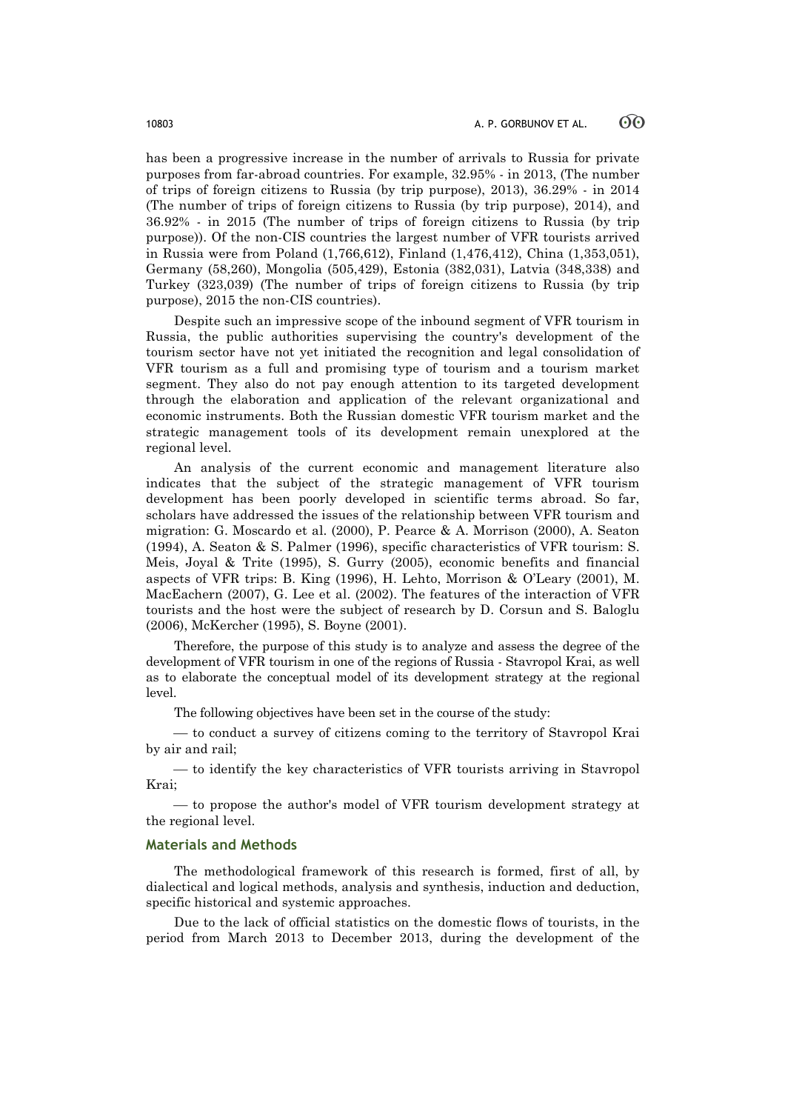has been a progressive increase in the number of arrivals to Russia for private purposes from far-abroad countries. For example, 32.95% - in 2013, (The number of trips of foreign citizens to Russia (by trip purpose), 2013), 36.29% - in 2014 (The number of trips of foreign citizens to Russia (by trip purpose), 2014), and 36.92% - in 2015 (The number of trips of foreign citizens to Russia (by trip purpose)). Of the non-CIS countries the largest number of VFR tourists arrived in Russia were from Poland (1,766,612), Finland (1,476,412), China (1,353,051), Germany (58,260), Mongolia (505,429), Estonia (382,031), Latvia (348,338) and Turkey (323,039) (The number of trips of foreign citizens to Russia (by trip purpose), 2015 the non-CIS countries).

Despite such an impressive scope of the inbound segment of VFR tourism in Russia, the public authorities supervising the country's development of the tourism sector have not yet initiated the recognition and legal consolidation of VFR tourism as a full and promising type of tourism and a tourism market segment. They also do not pay enough attention to its targeted development through the elaboration and application of the relevant organizational and economic instruments. Both the Russian domestic VFR tourism market and the strategic management tools of its development remain unexplored at the regional level.

An analysis of the current economic and management literature also indicates that the subject of the strategic management of VFR tourism development has been poorly developed in scientific terms abroad. So far, scholars have addressed the issues of the relationship between VFR tourism and migration: G. Moscardo et al. (2000), P. Pearce & A. Morrison (2000), A. Seaton (1994), A. Seaton & S. Palmer (1996), specific characteristics of VFR tourism: S. Meis, Joyal & Trite (1995), S. Gurry (2005), economic benefits and financial aspects of VFR trips: B. King (1996), H. Lehto, Morrison & O'Leary (2001), M. MacEachern (2007), G. Lee et al. (2002). The features of the interaction of VFR tourists and the host were the subject of research by D. Corsun and S. Baloglu (2006), McKercher (1995), S. Boyne (2001).

Therefore, the purpose of this study is to analyze and assess the degree of the development of VFR tourism in one of the regions of Russia - Stavropol Krai, as well as to elaborate the conceptual model of its development strategy at the regional level.

The following objectives have been set in the course of the study:

¾ to conduct a survey of citizens coming to the territory of Stavropol Krai by air and rail;

¾ to identify the key characteristics of VFR tourists arriving in Stavropol Krai;

— to propose the author's model of VFR tourism development strategy at the regional level.

# **Materials and Methods**

The methodological framework of this research is formed, first of all, by dialectical and logical methods, analysis and synthesis, induction and deduction, specific historical and systemic approaches.

Due to the lack of official statistics on the domestic flows of tourists, in the period from March 2013 to December 2013, during the development of the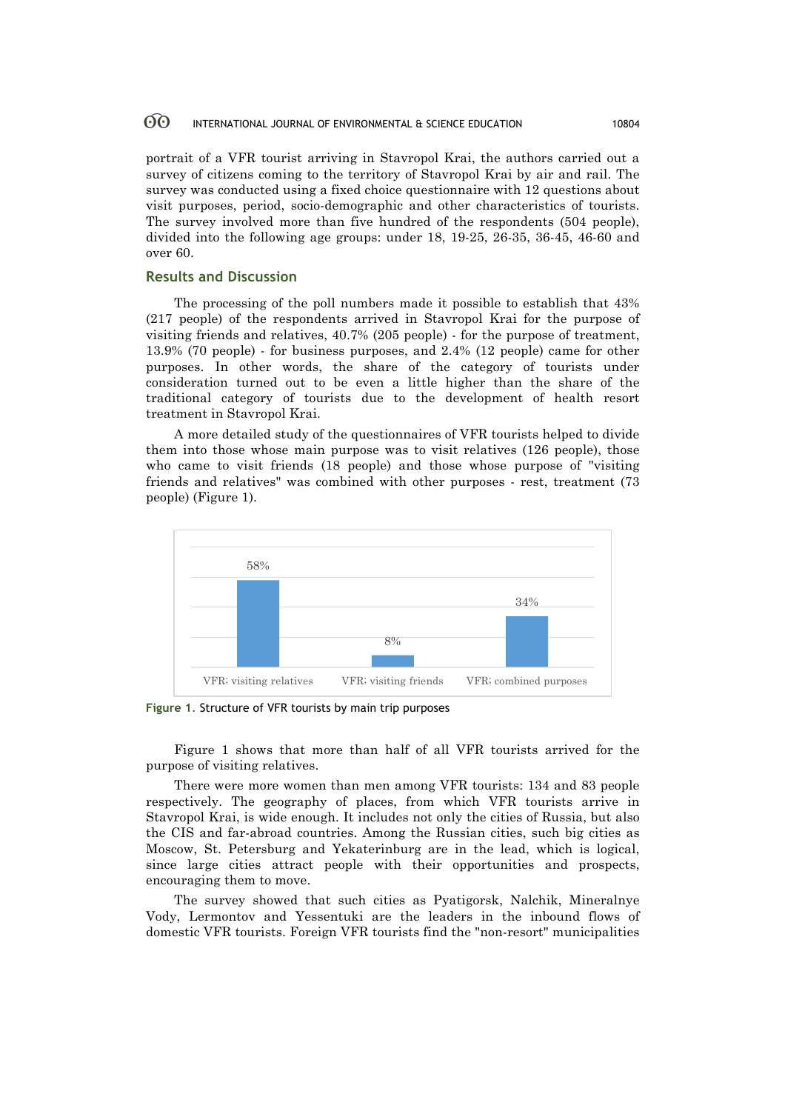portrait of a VFR tourist arriving in Stavropol Krai, the authors carried out a survey of citizens coming to the territory of Stavropol Krai by air and rail. The survey was conducted using a fixed choice questionnaire with 12 questions about visit purposes, period, socio-demographic and other characteristics of tourists. The survey involved more than five hundred of the respondents (504 people), divided into the following age groups: under 18, 19-25, 26-35, 36-45, 46-60 and over 60.

# **Results and Discussion**

The processing of the poll numbers made it possible to establish that 43% (217 people) of the respondents arrived in Stavropol Krai for the purpose of visiting friends and relatives, 40.7% (205 people) - for the purpose of treatment, 13.9% (70 people) - for business purposes, and 2.4% (12 people) came for other purposes. In other words, the share of the category of tourists under consideration turned out to be even a little higher than the share of the traditional category of tourists due to the development of health resort treatment in Stavropol Krai.

A more detailed study of the questionnaires of VFR tourists helped to divide them into those whose main purpose was to visit relatives (126 people), those who came to visit friends (18 people) and those whose purpose of "visiting friends and relatives" was combined with other purposes - rest, treatment (73 people) (Figure 1).



**Figure 1**. Structure of VFR tourists by main trip purposes

Figure 1 shows that more than half of all VFR tourists arrived for the purpose of visiting relatives.

There were more women than men among VFR tourists: 134 and 83 people respectively. The geography of places, from which VFR tourists arrive in Stavropol Krai, is wide enough. It includes not only the cities of Russia, but also the CIS and far-abroad countries. Among the Russian cities, such big cities as Moscow, St. Petersburg and Yekaterinburg are in the lead, which is logical, since large cities attract people with their opportunities and prospects, encouraging them to move.

The survey showed that such cities as Pyatigorsk, Nalchik, Mineralnye Vody, Lermontov and Yessentuki are the leaders in the inbound flows of domestic VFR tourists. Foreign VFR tourists find the "non-resort" municipalities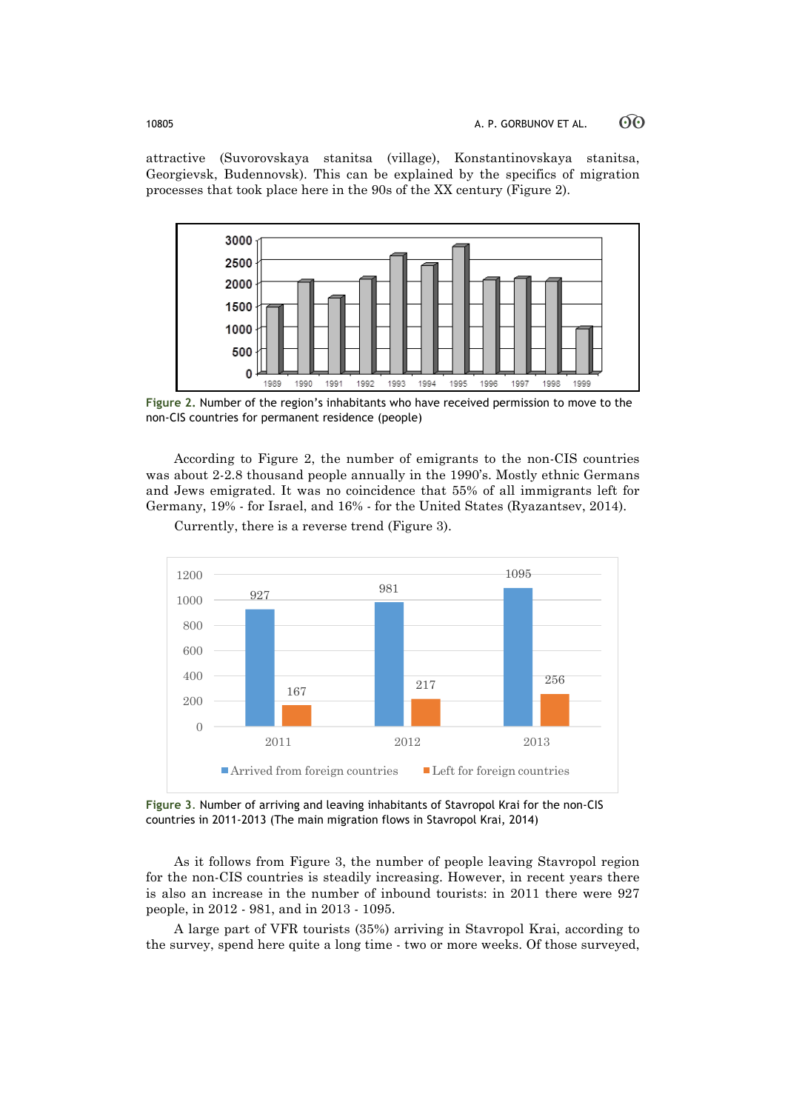attractive (Suvorovskaya stanitsa (village), Konstantinovskaya stanitsa, Georgievsk, Budennovsk). This can be explained by the specifics of migration processes that took place here in the 90s of the XX century (Figure 2).



**Figure 2.** Number of the region's inhabitants who have received permission to move to the non-CIS countries for permanent residence (people)

According to Figure 2, the number of emigrants to the non-CIS countries was about 2-2.8 thousand people annually in the 1990's. Mostly ethnic Germans and Jews emigrated. It was no coincidence that 55% of all immigrants left for Germany, 19% - for Israel, and 16% - for the United States (Ryazantsev, 2014).



Currently, there is a reverse trend (Figure 3).

**Figure 3**. Number of arriving and leaving inhabitants of Stavropol Krai for the non-CIS countries in 2011-2013 (The main migration flows in Stavropol Krai, 2014)

As it follows from Figure 3, the number of people leaving Stavropol region for the non-CIS countries is steadily increasing. However, in recent years there is also an increase in the number of inbound tourists: in 2011 there were 927 people, in 2012 - 981, and in 2013 - 1095.

A large part of VFR tourists (35%) arriving in Stavropol Krai, according to the survey, spend here quite a long time - two or more weeks. Of those surveyed,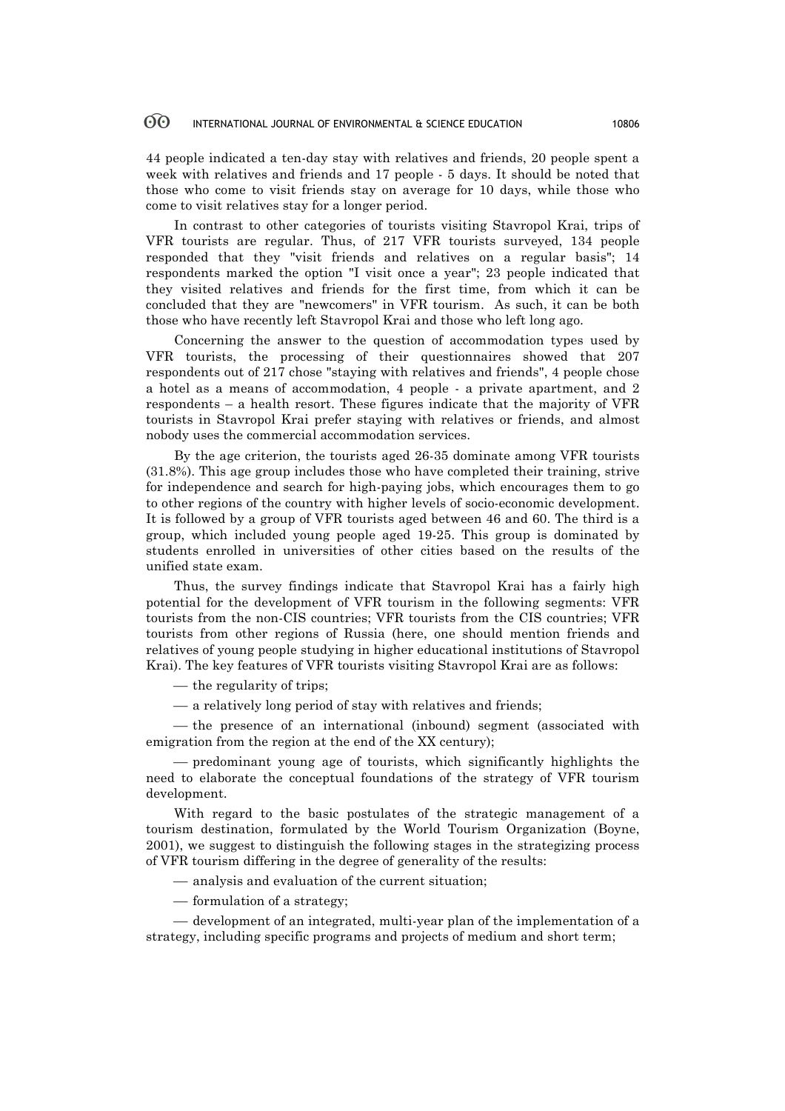44 people indicated a ten-day stay with relatives and friends, 20 people spent a week with relatives and friends and 17 people - 5 days. It should be noted that those who come to visit friends stay on average for 10 days, while those who come to visit relatives stay for a longer period.

In contrast to other categories of tourists visiting Stavropol Krai, trips of VFR tourists are regular. Thus, of 217 VFR tourists surveyed, 134 people responded that they "visit friends and relatives on a regular basis"; 14 respondents marked the option "I visit once a year"; 23 people indicated that they visited relatives and friends for the first time, from which it can be concluded that they are "newcomers" in VFR tourism. As such, it can be both those who have recently left Stavropol Krai and those who left long ago.

Concerning the answer to the question of accommodation types used by VFR tourists, the processing of their questionnaires showed that 207 respondents out of 217 chose "staying with relatives and friends", 4 people chose a hotel as a means of accommodation, 4 people - a private apartment, and 2 respondents – a health resort. These figures indicate that the majority of VFR tourists in Stavropol Krai prefer staying with relatives or friends, and almost nobody uses the commercial accommodation services.

By the age criterion, the tourists aged 26-35 dominate among VFR tourists (31.8%). This age group includes those who have completed their training, strive for independence and search for high-paying jobs, which encourages them to go to other regions of the country with higher levels of socio-economic development. It is followed by a group of VFR tourists aged between 46 and 60. The third is a group, which included young people aged 19-25. This group is dominated by students enrolled in universities of other cities based on the results of the unified state exam.

Thus, the survey findings indicate that Stavropol Krai has a fairly high potential for the development of VFR tourism in the following segments: VFR tourists from the non-CIS countries; VFR tourists from the CIS countries; VFR tourists from other regions of Russia (here, one should mention friends and relatives of young people studying in higher educational institutions of Stavropol Krai). The key features of VFR tourists visiting Stavropol Krai are as follows:

 $-$  the regularity of trips;

 $-$  a relatively long period of stay with relatives and friends;

— the presence of an international (inbound) segment (associated with emigration from the region at the end of the XX century);

¾ predominant young age of tourists, which significantly highlights the need to elaborate the conceptual foundations of the strategy of VFR tourism development.

With regard to the basic postulates of the strategic management of a tourism destination, formulated by the World Tourism Organization (Boyne, 2001), we suggest to distinguish the following stages in the strategizing process of VFR tourism differing in the degree of generality of the results:

- ¾ analysis and evaluation of the current situation;
- formulation of a strategy;

¾ development of an integrated, multi-year plan of the implementation of a strategy, including specific programs and projects of medium and short term;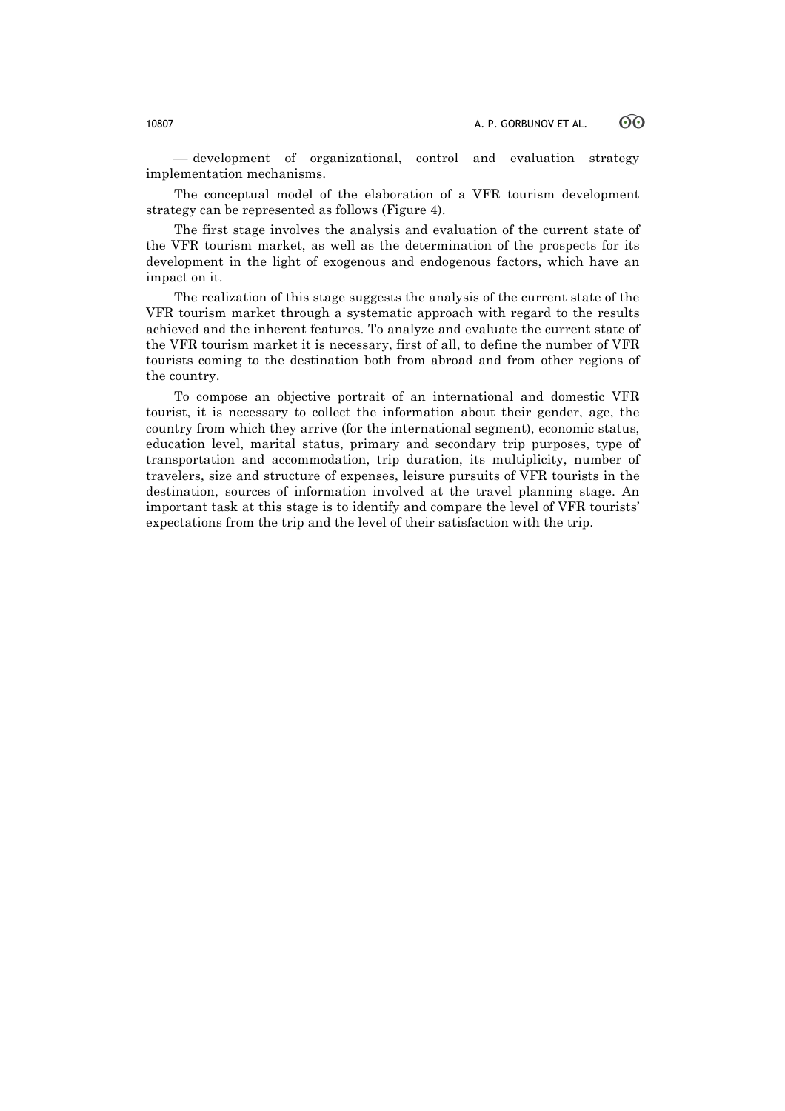— development of organizational, control and evaluation strategy implementation mechanisms.

The conceptual model of the elaboration of a VFR tourism development strategy can be represented as follows (Figure 4).

The first stage involves the analysis and evaluation of the current state of the VFR tourism market, as well as the determination of the prospects for its development in the light of exogenous and endogenous factors, which have an impact on it.

The realization of this stage suggests the analysis of the current state of the VFR tourism market through a systematic approach with regard to the results achieved and the inherent features. To analyze and evaluate the current state of the VFR tourism market it is necessary, first of all, to define the number of VFR tourists coming to the destination both from abroad and from other regions of the country.

To compose an objective portrait of an international and domestic VFR tourist, it is necessary to collect the information about their gender, age, the country from which they arrive (for the international segment), economic status, education level, marital status, primary and secondary trip purposes, type of transportation and accommodation, trip duration, its multiplicity, number of travelers, size and structure of expenses, leisure pursuits of VFR tourists in the destination, sources of information involved at the travel planning stage. An important task at this stage is to identify and compare the level of VFR tourists' expectations from the trip and the level of their satisfaction with the trip.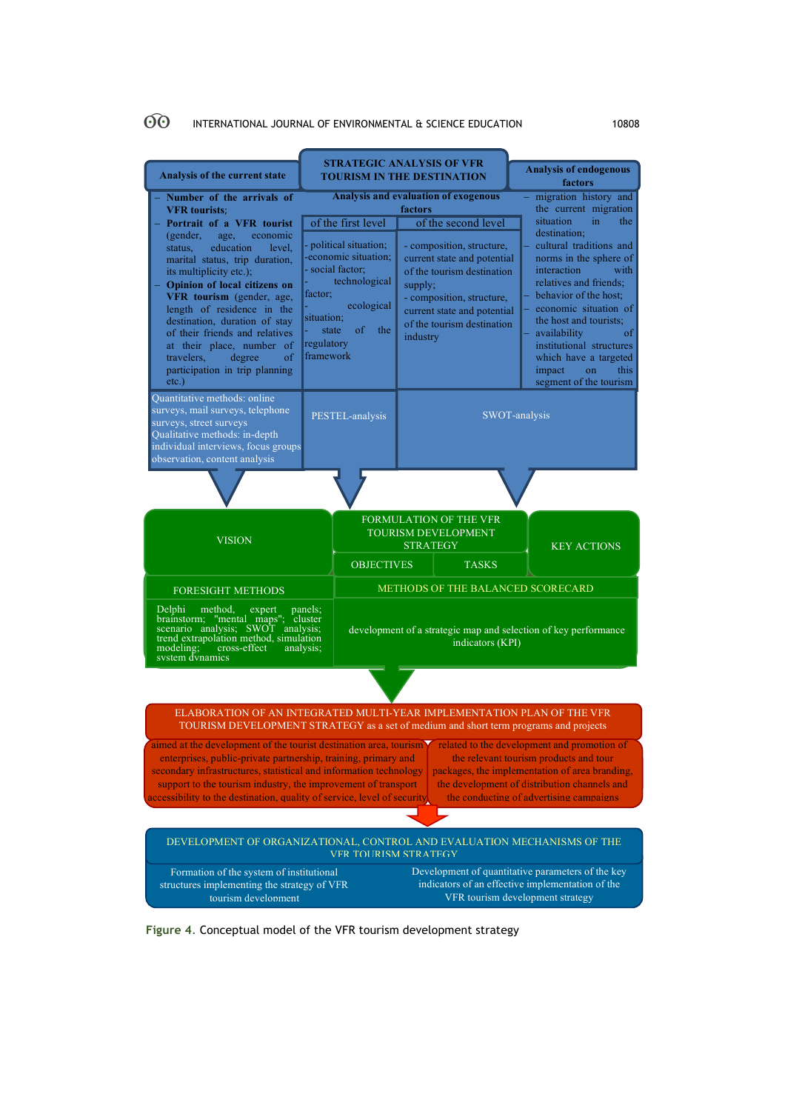| Analysis of the current state                                                                                                                                                                                                                                                                                                                   | <b>STRATEGIC ANALYSIS OF VFR</b><br><b>TOURISM IN THE DESTINATION</b>                                            |                                                                                          |                                                                                                                                                                         |                                                                                                                                           |                                                                                                                                                                       | <b>Analysis of endogenous</b><br>factors                                                                                                                                                                                         |  |
|-------------------------------------------------------------------------------------------------------------------------------------------------------------------------------------------------------------------------------------------------------------------------------------------------------------------------------------------------|------------------------------------------------------------------------------------------------------------------|------------------------------------------------------------------------------------------|-------------------------------------------------------------------------------------------------------------------------------------------------------------------------|-------------------------------------------------------------------------------------------------------------------------------------------|-----------------------------------------------------------------------------------------------------------------------------------------------------------------------|----------------------------------------------------------------------------------------------------------------------------------------------------------------------------------------------------------------------------------|--|
| Number of the arrivals of<br><b>VFR</b> tourists:<br>Portrait of a VFR tourist<br>(gender,<br>age.<br>economic<br>education<br>status,<br>level,<br>marital status, trip duration,<br>its multiplicity etc.);                                                                                                                                   |                                                                                                                  | of the first level<br>- political situation;<br>-economic situation:<br>- social factor; | <b>Analysis and evaluation of exogenous</b><br>factors<br>of the second level<br>- composition, structure,<br>current state and potential<br>of the tourism destination |                                                                                                                                           | migration history and<br>the current migration<br>situation<br>in.<br>the<br>destination:<br>cultural traditions and<br>norms in the sphere of<br>with<br>interaction |                                                                                                                                                                                                                                  |  |
| Opinion of local citizens on<br>VFR tourism (gender, age,<br>length of residence in the<br>destination, duration of stay<br>of their friends and relatives<br>at their place, number of<br>travelers.<br>degree<br>of<br>participation in trip planning<br>$etc.$ )                                                                             | technological<br>factor;<br>ecological<br>situation;<br><sub>of</sub><br>the<br>state<br>regulatory<br>framework |                                                                                          | supply;<br>- composition, structure,<br>current state and potential<br>of the tourism destination<br>industry                                                           |                                                                                                                                           |                                                                                                                                                                       | relatives and friends;<br>behavior of the host;<br>economic situation of<br>the host and tourists:<br>availability<br>οf<br>institutional structures<br>which have a targeted<br>impact<br>on<br>this.<br>segment of the tourism |  |
| Quantitative methods: online<br>surveys, mail surveys, telephone<br>surveys, street surveys<br>Qualitative methods: in-depth<br>individual interviews, focus groups<br>observation, content analysis                                                                                                                                            | PESTEL-analysis                                                                                                  |                                                                                          |                                                                                                                                                                         |                                                                                                                                           |                                                                                                                                                                       | SWOT-analysis                                                                                                                                                                                                                    |  |
|                                                                                                                                                                                                                                                                                                                                                 |                                                                                                                  |                                                                                          |                                                                                                                                                                         |                                                                                                                                           |                                                                                                                                                                       |                                                                                                                                                                                                                                  |  |
| <b>VISION</b>                                                                                                                                                                                                                                                                                                                                   | FORMULATION OF THE VFR<br><b>TOURISM DEVELOPMENT</b><br><b>STRATEGY</b>                                          |                                                                                          |                                                                                                                                                                         | <b>KEY ACTIONS</b>                                                                                                                        |                                                                                                                                                                       |                                                                                                                                                                                                                                  |  |
|                                                                                                                                                                                                                                                                                                                                                 | <b>OBJECTIVES</b>                                                                                                |                                                                                          |                                                                                                                                                                         | <b>TASKS</b>                                                                                                                              |                                                                                                                                                                       |                                                                                                                                                                                                                                  |  |
| <b>FORESIGHT METHODS</b>                                                                                                                                                                                                                                                                                                                        |                                                                                                                  |                                                                                          | METHODS OF THE BALANCED SCORECARD                                                                                                                                       |                                                                                                                                           |                                                                                                                                                                       |                                                                                                                                                                                                                                  |  |
| Delphi<br>method.<br>panels:<br>expert<br>Deipm method, expert panels;<br>brainstorm; "mental maps"; cluster<br>scenario analysis; SWOT analysis;<br>development of a strategic map and selection of key performance<br>trend extrapolation method, simulation<br>indicators (KPI)<br>modeling;<br>cross-effect<br>analysis;<br>system dynamics |                                                                                                                  |                                                                                          |                                                                                                                                                                         |                                                                                                                                           |                                                                                                                                                                       |                                                                                                                                                                                                                                  |  |
|                                                                                                                                                                                                                                                                                                                                                 |                                                                                                                  |                                                                                          |                                                                                                                                                                         |                                                                                                                                           |                                                                                                                                                                       |                                                                                                                                                                                                                                  |  |
| ELABORATION OF AN INTEGRATED MULTI-YEAR IMPLEMENTATION PLAN OF THE VFR<br>TOURISM DEVELOPMENT STRATEGY as a set of medium and short term programs and projects                                                                                                                                                                                  |                                                                                                                  |                                                                                          |                                                                                                                                                                         |                                                                                                                                           |                                                                                                                                                                       |                                                                                                                                                                                                                                  |  |
| aimed at the development of the tourist destination area, tourism<br>related to the development and promotion of<br>enterprises, public-private partnership, training, primary and<br>the relevant tourism products and tour<br>packages, the implementation of area branding,                                                                  |                                                                                                                  |                                                                                          |                                                                                                                                                                         |                                                                                                                                           |                                                                                                                                                                       |                                                                                                                                                                                                                                  |  |
| secondary infrastructures, statistical and information technology<br>support to the tourism industry, the improvement of transport<br>the development of distribution channels and<br>accessibility to the destination, quality of service, level of security<br>the conducting of advertising campaigns                                        |                                                                                                                  |                                                                                          |                                                                                                                                                                         |                                                                                                                                           |                                                                                                                                                                       |                                                                                                                                                                                                                                  |  |
|                                                                                                                                                                                                                                                                                                                                                 |                                                                                                                  |                                                                                          |                                                                                                                                                                         |                                                                                                                                           |                                                                                                                                                                       |                                                                                                                                                                                                                                  |  |
| DEVELOPMENT OF ORGANIZATIONAL, CONTROL AND EVALUATION MECHANISMS OF THE<br><b>VFR TOURISM STRATEGY</b>                                                                                                                                                                                                                                          |                                                                                                                  |                                                                                          |                                                                                                                                                                         |                                                                                                                                           |                                                                                                                                                                       |                                                                                                                                                                                                                                  |  |
| Formation of the system of institutional<br>structures implementing the strategy of VFR<br>tourism development                                                                                                                                                                                                                                  |                                                                                                                  |                                                                                          |                                                                                                                                                                         | Development of quantitative parameters of the key<br>indicators of an effective implementation of the<br>VFR tourism development strategy |                                                                                                                                                                       |                                                                                                                                                                                                                                  |  |

**Figure 4**. Conceptual model of the VFR tourism development strategy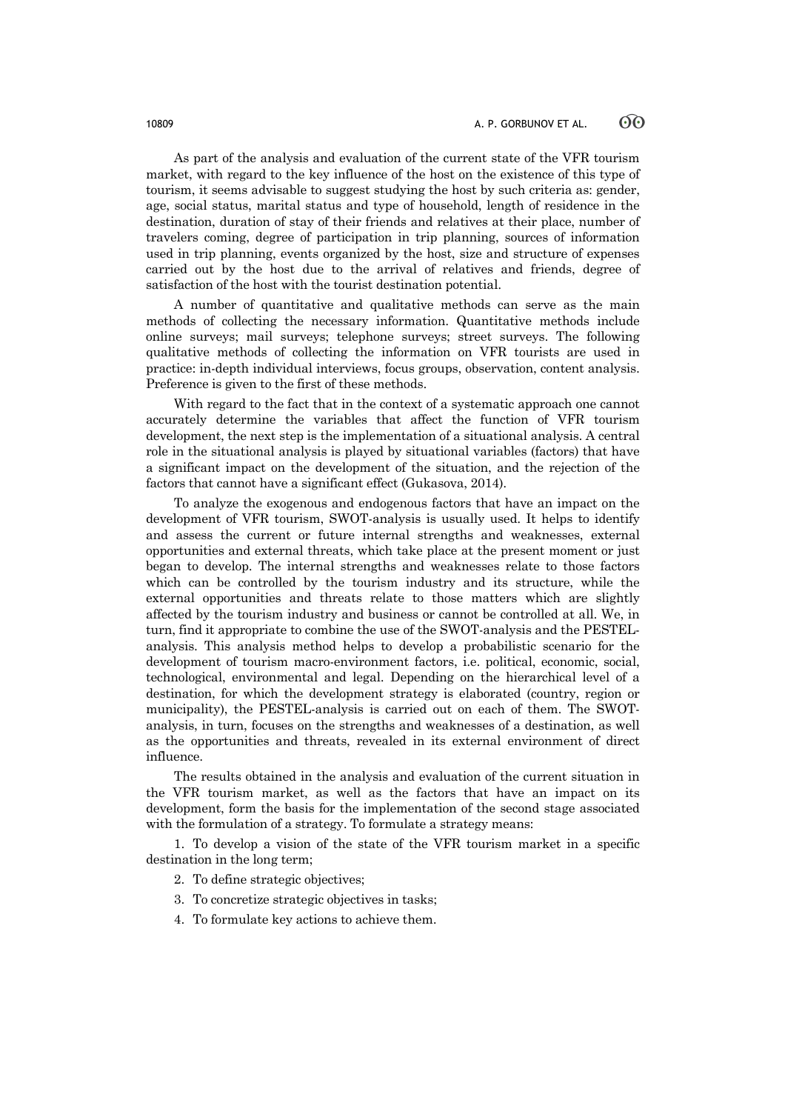As part of the analysis and evaluation of the current state of the VFR tourism market, with regard to the key influence of the host on the existence of this type of tourism, it seems advisable to suggest studying the host by such criteria as: gender, age, social status, marital status and type of household, length of residence in the destination, duration of stay of their friends and relatives at their place, number of travelers coming, degree of participation in trip planning, sources of information used in trip planning, events organized by the host, size and structure of expenses carried out by the host due to the arrival of relatives and friends, degree of satisfaction of the host with the tourist destination potential.

A number of quantitative and qualitative methods can serve as the main methods of collecting the necessary information. Quantitative methods include online surveys; mail surveys; telephone surveys; street surveys. The following qualitative methods of collecting the information on VFR tourists are used in practice: in-depth individual interviews, focus groups, observation, content analysis. Preference is given to the first of these methods.

With regard to the fact that in the context of a systematic approach one cannot accurately determine the variables that affect the function of VFR tourism development, the next step is the implementation of a situational analysis. A central role in the situational analysis is played by situational variables (factors) that have a significant impact on the development of the situation, and the rejection of the factors that cannot have a significant effect (Gukasova, 2014).

To analyze the exogenous and endogenous factors that have an impact on the development of VFR tourism, SWOT-analysis is usually used. It helps to identify and assess the current or future internal strengths and weaknesses, external opportunities and external threats, which take place at the present moment or just began to develop. The internal strengths and weaknesses relate to those factors which can be controlled by the tourism industry and its structure, while the external opportunities and threats relate to those matters which are slightly affected by the tourism industry and business or cannot be controlled at all. We, in turn, find it appropriate to combine the use of the SWOT-analysis and the PESTELanalysis. This analysis method helps to develop a probabilistic scenario for the development of tourism macro-environment factors, i.e. political, economic, social, technological, environmental and legal. Depending on the hierarchical level of a destination, for which the development strategy is elaborated (country, region or municipality), the PESTEL-analysis is carried out on each of them. The SWOTanalysis, in turn, focuses on the strengths and weaknesses of a destination, as well as the opportunities and threats, revealed in its external environment of direct influence.

The results obtained in the analysis and evaluation of the current situation in the VFR tourism market, as well as the factors that have an impact on its development, form the basis for the implementation of the second stage associated with the formulation of a strategy. To formulate a strategy means:

1. To develop a vision of the state of the VFR tourism market in a specific destination in the long term;

- 2. To define strategic objectives;
- 3. To concretize strategic objectives in tasks;
- 4. To formulate key actions to achieve them.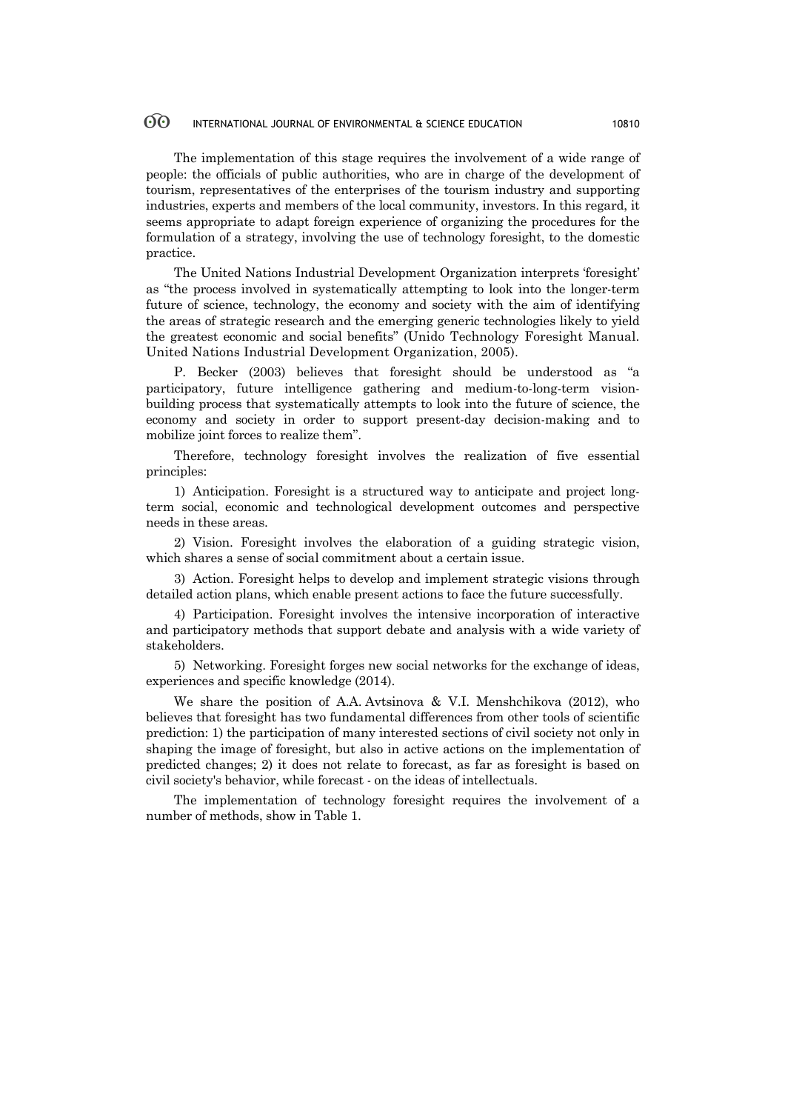The implementation of this stage requires the involvement of a wide range of people: the officials of public authorities, who are in charge of the development of tourism, representatives of the enterprises of the tourism industry and supporting industries, experts and members of the local community, investors. In this regard, it seems appropriate to adapt foreign experience of organizing the procedures for the formulation of a strategy, involving the use of technology foresight, to the domestic practice.

The United Nations Industrial Development Organization interprets 'foresight' as "the process involved in systematically attempting to look into the longer-term future of science, technology, the economy and society with the aim of identifying the areas of strategic research and the emerging generic technologies likely to yield the greatest economic and social benefits" (Unido Technology Foresight Manual. United Nations Industrial Development Organization, 2005).

P. Becker (2003) believes that foresight should be understood as "a participatory, future intelligence gathering and medium-to-long-term visionbuilding process that systematically attempts to look into the future of science, the economy and society in order to support present-day decision-making and to mobilize joint forces to realize them".

Therefore, technology foresight involves the realization of five essential principles:

1) Anticipation. Foresight is a structured way to anticipate and project longterm social, economic and technological development outcomes and perspective needs in these areas.

2) Vision. Foresight involves the elaboration of a guiding strategic vision, which shares a sense of social commitment about a certain issue.

3) Action. Foresight helps to develop and implement strategic visions through detailed action plans, which enable present actions to face the future successfully.

4) Participation. Foresight involves the intensive incorporation of interactive and participatory methods that support debate and analysis with a wide variety of stakeholders.

5) Networking. Foresight forges new social networks for the exchange of ideas, experiences and specific knowledge (2014).

We share the position of A.A. Avtsinova & V.I. Menshchikova (2012), who believes that foresight has two fundamental differences from other tools of scientific prediction: 1) the participation of many interested sections of civil society not only in shaping the image of foresight, but also in active actions on the implementation of predicted changes; 2) it does not relate to forecast, as far as foresight is based on civil society's behavior, while forecast - on the ideas of intellectuals.

The implementation of technology foresight requires the involvement of a number of methods, show in Table 1.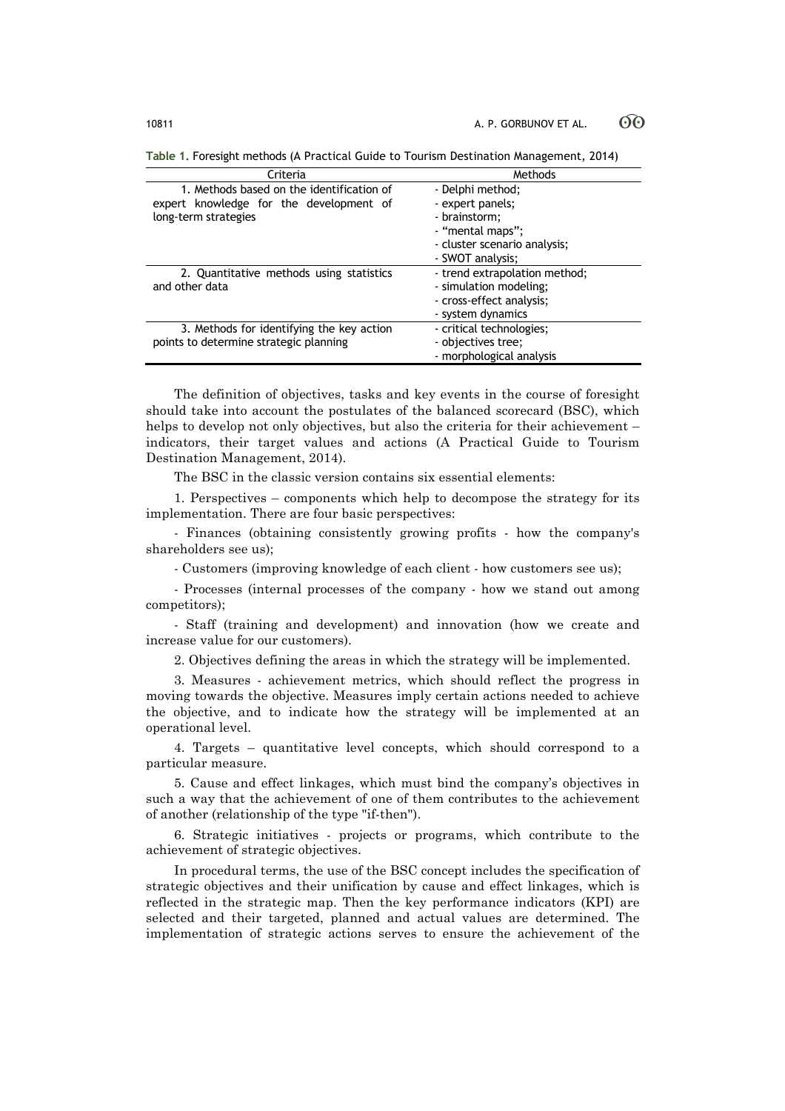| Criteria                                  | Methods                       |  |  |  |
|-------------------------------------------|-------------------------------|--|--|--|
| 1. Methods based on the identification of | - Delphi method;              |  |  |  |
| expert knowledge for the development of   | - expert panels;              |  |  |  |
| long-term strategies                      | - brainstorm:                 |  |  |  |
|                                           | - "mental maps";              |  |  |  |
|                                           | - cluster scenario analysis;  |  |  |  |
|                                           | - SWOT analysis;              |  |  |  |
| 2. Quantitative methods using statistics  | - trend extrapolation method; |  |  |  |
| and other data                            | - simulation modeling;        |  |  |  |
|                                           | - cross-effect analysis;      |  |  |  |
|                                           | - system dynamics             |  |  |  |
| 3. Methods for identifying the key action | - critical technologies;      |  |  |  |
| points to determine strategic planning    | - objectives tree;            |  |  |  |
|                                           | - morphological analysis      |  |  |  |

**Table 1.** Foresight methods (A Practical Guide to Tourism Destination Management, 2014)

The definition of objectives, tasks and key events in the course of foresight should take into account the postulates of the balanced scorecard (BSC), which helps to develop not only objectives, but also the criteria for their achievement – indicators, their target values and actions (A Practical Guide to Tourism Destination Management, 2014).

The BSC in the classic version contains six essential elements:

1. Perspectives – components which help to decompose the strategy for its implementation. There are four basic perspectives:

- Finances (obtaining consistently growing profits - how the company's shareholders see us);

- Customers (improving knowledge of each client - how customers see us);

- Processes (internal processes of the company - how we stand out among competitors);

- Staff (training and development) and innovation (how we create and increase value for our customers).

2. Objectives defining the areas in which the strategy will be implemented.

3. Measures - achievement metrics, which should reflect the progress in moving towards the objective. Measures imply certain actions needed to achieve the objective, and to indicate how the strategy will be implemented at an operational level.

4. Targets – quantitative level concepts, which should correspond to a particular measure.

5. Cause and effect linkages, which must bind the company's objectives in such a way that the achievement of one of them contributes to the achievement of another (relationship of the type "if-then").

6. Strategic initiatives - projects or programs, which contribute to the achievement of strategic objectives.

In procedural terms, the use of the BSC concept includes the specification of strategic objectives and their unification by cause and effect linkages, which is reflected in the strategic map. Then the key performance indicators (KPI) are selected and their targeted, planned and actual values are determined. The implementation of strategic actions serves to ensure the achievement of the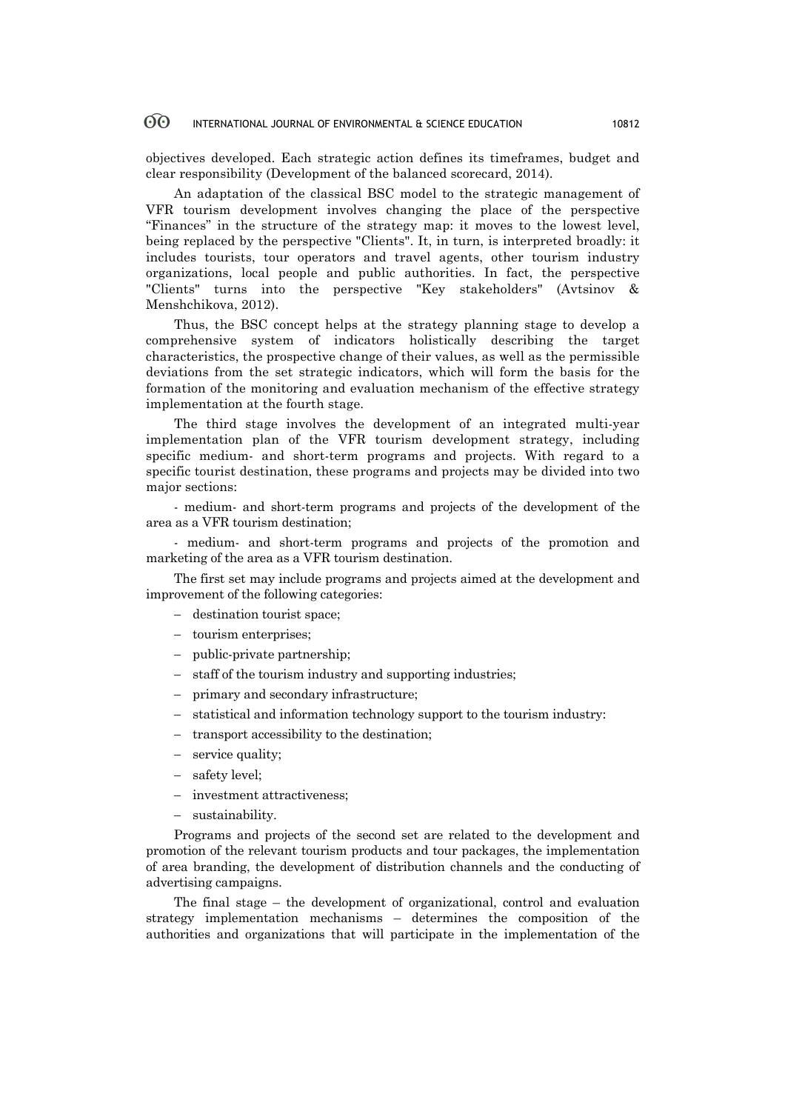objectives developed. Each strategic action defines its timeframes, budget and clear responsibility (Development of the balanced scorecard, 2014).

An adaptation of the classical BSC model to the strategic management of VFR tourism development involves changing the place of the perspective "Finances" in the structure of the strategy map: it moves to the lowest level, being replaced by the perspective "Clients". It, in turn, is interpreted broadly: it includes tourists, tour operators and travel agents, other tourism industry organizations, local people and public authorities. In fact, the perspective "Clients" turns into the perspective "Key stakeholders" (Avtsinov & Menshchikova, 2012).

Thus, the BSC concept helps at the strategy planning stage to develop a comprehensive system of indicators holistically describing the target characteristics, the prospective change of their values, as well as the permissible deviations from the set strategic indicators, which will form the basis for the formation of the monitoring and evaluation mechanism of the effective strategy implementation at the fourth stage.

The third stage involves the development of an integrated multi-year implementation plan of the VFR tourism development strategy, including specific medium- and short-term programs and projects. With regard to a specific tourist destination, these programs and projects may be divided into two major sections:

- medium- and short-term programs and projects of the development of the area as a VFR tourism destination;

- medium- and short-term programs and projects of the promotion and marketing of the area as a VFR tourism destination.

The first set may include programs and projects aimed at the development and improvement of the following categories:

- destination tourist space;
- tourism enterprises;
- public-private partnership;
- staff of the tourism industry and supporting industries;
- primary and secondary infrastructure;
- statistical and information technology support to the tourism industry:
- transport accessibility to the destination;
- service quality;
- safety level;
- investment attractiveness;
- sustainability.

Programs and projects of the second set are related to the development and promotion of the relevant tourism products and tour packages, the implementation of area branding, the development of distribution channels and the conducting of advertising campaigns.

The final stage – the development of organizational, control and evaluation strategy implementation mechanisms – determines the composition of the authorities and organizations that will participate in the implementation of the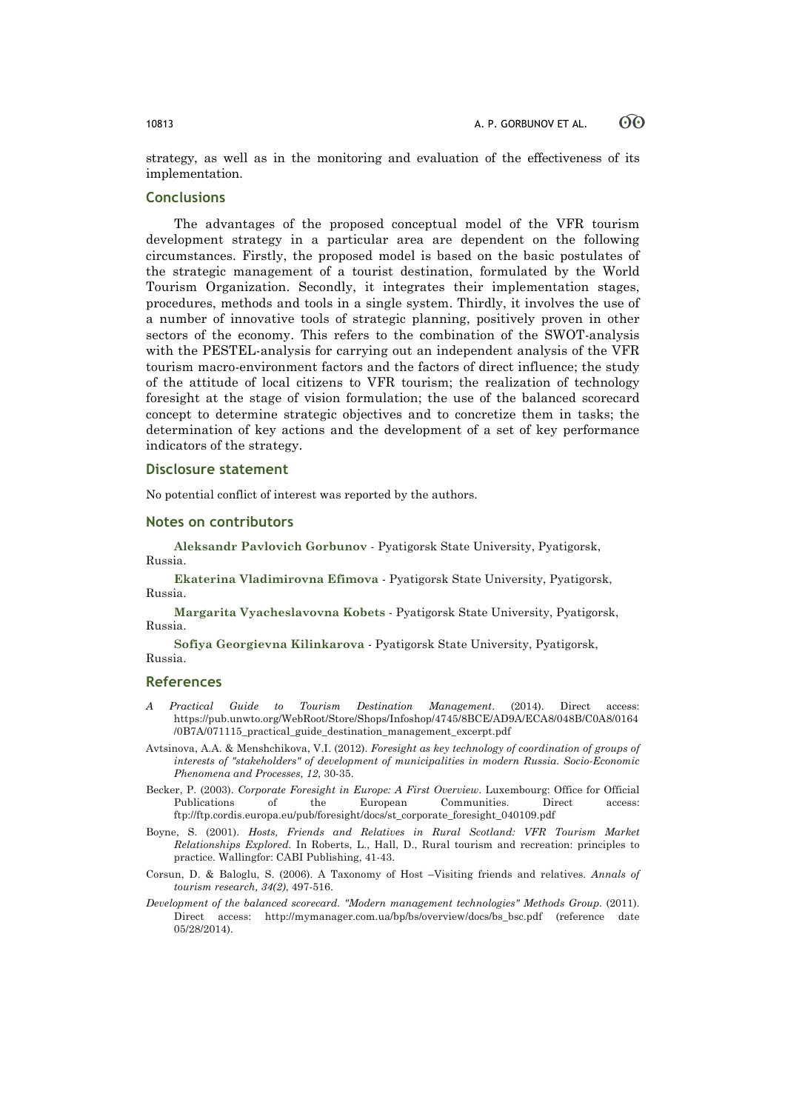strategy, as well as in the monitoring and evaluation of the effectiveness of its implementation.

# **Conclusions**

The advantages of the proposed conceptual model of the VFR tourism development strategy in a particular area are dependent on the following circumstances. Firstly, the proposed model is based on the basic postulates of the strategic management of a tourist destination, formulated by the World Tourism Organization. Secondly, it integrates their implementation stages, procedures, methods and tools in a single system. Thirdly, it involves the use of a number of innovative tools of strategic planning, positively proven in other sectors of the economy. This refers to the combination of the SWOT-analysis with the PESTEL-analysis for carrying out an independent analysis of the VFR tourism macro-environment factors and the factors of direct influence; the study of the attitude of local citizens to VFR tourism; the realization of technology foresight at the stage of vision formulation; the use of the balanced scorecard concept to determine strategic objectives and to concretize them in tasks; the determination of key actions and the development of a set of key performance indicators of the strategy.

# **Disclosure statement**

No potential conflict of interest was reported by the authors.

### **Notes on contributors**

**Aleksandr Pavlovich Gorbunov** - Pyatigorsk State University, Pyatigorsk, Russia.

**Ekaterina Vladimirovna Efimova** - Pyatigorsk State University, Pyatigorsk, Russia.

**Margarita Vyacheslavovna Kobets** - Pyatigorsk State University, Pyatigorsk, Russia.

**Sofiya Georgievna Kilinkarova** - Pyatigorsk State University, Pyatigorsk, Russia.

# **References**

- *A Practical Guide to Tourism Destination Management*. (2014). Direct access: https://pub.unwto.org/WebRoot/Store/Shops/Infoshop/4745/8BCE/AD9A/ECA8/048B/C0A8/0164 /0B7A/071115\_practical\_guide\_destination\_management\_excerpt.pdf
- Avtsinova, A.A. & Menshchikova, V.I. (2012). *Foresight as key technology of coordination of groups of interests of "stakeholders" of development of municipalities in modern Russia*. *Socio-Economic Phenomena and Processes*, *12*, 30-35.
- Becker, P. (2003). *Corporate Foresight in Europe: A First Overview*. Luxembourg: Office for Official Publications of the European Communities. Direct access: ftp://ftp.cordis.europa.eu/pub/foresight/docs/st\_corporate\_foresight\_040109.pdf
- Boyne, S. (2001). *Hosts, Friends and Relatives in Rural Scotland: VFR Tourism Market Relationships Explored.* In Roberts, L., Hall, D., Rural tourism and recreation: principles to practice. Wallingfor: CABI Publishing, 41-43.
- Corsun, D. & Baloglu, S. (2006). A Taxonomy of Host –Visiting friends and relatives. *Annals of tourism research, 34(2)*, 497-516.
- *Development of the balanced scorecard. "Modern management technologies" Methods Group*. (2011). Direct access: http://mymanager.com.ua/bp/bs/overview/docs/bs\_bsc.pdf (reference date 05/28/2014).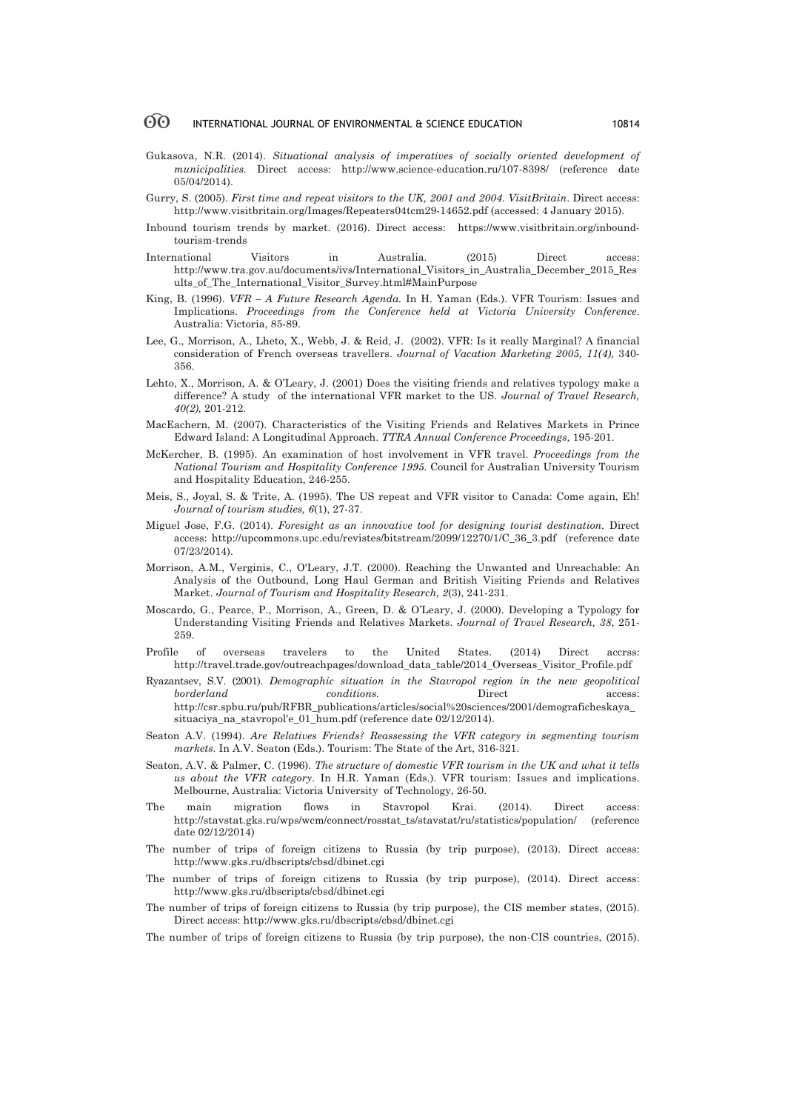- Gukasova, N.R. (2014). *Situational analysis of imperatives of socially oriented development of municipalities.* Direct access: http://www.science-education.ru/107-8398/ (reference date 05/04/2014).
- Gurry, S. (2005). *First time and repeat visitors to the UK, 2001 and 2004. VisitBritain*. Direct access: http://www.visitbritain.org/Images/Repeaters04tcm29-14652.pdf (accessed: 4 January 2015).
- Inbound tourism trends by market. (2016). Direct access: https://www.visitbritain.org/inboundtourism-trends
- International Visitors in Australia. (2015) Direct access: http://www.tra.gov.au/documents/ivs/International\_Visitors\_in\_Australia\_December\_2015\_Res ults\_of\_The\_International\_Visitor\_Survey.html#MainPurpose
- King, B. (1996). *VFR – A Future Research Agenda.* In H. Yaman (Eds.). VFR Tourism: Issues and Implications. *Proceedings from the Conference held at Victoria University Conference*. Australia: Victoria, 85-89.
- Lee, G., Morrison, A., Lheto, X., Webb, J. & Reid, J. (2002). VFR: Is it really Marginal? A financial consideration of French overseas travellers. *Journal of Vacation Marketing 2005, 11(4),* 340- 356.
- Lehto, X., Morrison, A. & O'Leary, J. (2001) Does the visiting friends and relatives typology make a difference? A study of the international VFR market to the US. *Journal of Travel Research, 40(2),* 201-212.
- MacEachern, M. (2007). Characteristics of the Visiting Friends and Relatives Markets in Prince Edward Island: A Longitudinal Approach. *TTRA Annual Conference Proceedings*, 195-201.
- McKercher, B. (1995). An examination of host involvement in VFR travel. *Proceedings from the National Tourism and Hospitality Conference 1995*. Council for Australian University Tourism and Hospitality Education, 246-255.
- Meis, S., Joyal, S. & Trite, A. (1995). The US repeat and VFR visitor to Canada: Come again, Eh! *Journal of tourism studies, 6*(1), 27-37.
- Miguel Jose, F.G. (2014). *Foresight as an innovative tool for designing tourist destination.* Direct access: http://upcommons.upc.edu/revistes/bitstream/2099/12270/1/C\_36\_3.pdf (reference date 07/23/2014).
- Morrison, A.M., Verginis, C., O'Leary, J.T. (2000). Reaching the Unwanted and Unreachable: An Analysis of the Outbound, Long Haul German and British Visiting Friends and Relatives Market. *Journal of Tourism and Hospitality Research, 2*(3), 241-231.
- Moscardo, G., Pearce, P., Morrison, A., Green, D. & O'Leary, J. (2000). Developing a Typology for Understanding Visiting Friends and Relatives Markets. *Journal of Travel Research, 38*, 251- 259.
- Profile of overseas travelers to the United States. (2014) Direct accrss: http://travel.trade.gov/outreachpages/download\_data\_table/2014\_Overseas\_Visitor\_Profile.pdf
- Ryazantsev, S.V. (2001). *Demographic situation in the Stavropol region in the new geopolitical borderland conditions.* Direct access: http://csr.spbu.ru/pub/RFBR\_publications/articles/social%20sciences/2001/demograficheskaya\_ situaciya na stavropol'e 01 hum.pdf (reference date 02/12/2014).
- Seaton A.V. (1994). *Are Relatives Friends? Reassessing the VFR category in segmenting tourism markets*. In A.V. Seaton (Eds.). Tourism: The State of the Art, 316-321.
- Seaton, A.V. & Palmer, C. (1996). *The structure of domestic VFR tourism in the UK and what it tells us about the VFR category*. In H.R. Yaman (Eds.). VFR tourism: Issues and implications. Melbourne, Australia: Victoria University of Technology, 26-50.
- The main migration flows in Stavropol Krai. (2014). Direct access: http://stavstat.gks.ru/wps/wcm/connect/rosstat\_ts/stavstat/ru/statistics/population/ (reference date 02/12/2014)
- The number of trips of foreign citizens to Russia (by trip purpose), (2013). Direct access: http://www.gks.ru/dbscripts/cbsd/dbinet.cgi
- The number of trips of foreign citizens to Russia (by trip purpose), (2014). Direct access: http://www.gks.ru/dbscripts/cbsd/dbinet.cgi
- The number of trips of foreign citizens to Russia (by trip purpose), the CIS member states, (2015). Direct access: http://www.gks.ru/dbscripts/cbsd/dbinet.cgi
- The number of trips of foreign citizens to Russia (by trip purpose), the non-CIS countries, (2015).